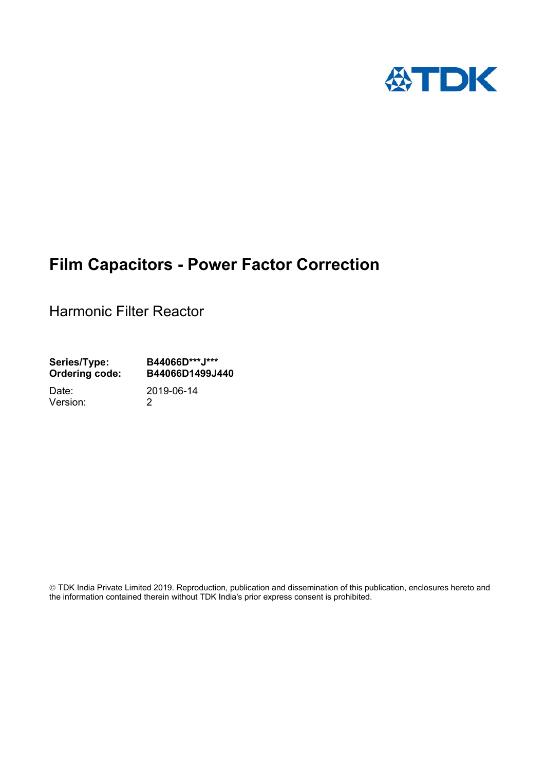

# **Film Capacitors - Power Factor Correction**

Harmonic Filter Reactor

**Series/Type: B44066D\*\*\*J\*\*\* Ordering code: B44066D1499J440** 

Version: 2

Date: 2019-06-14

 TDK India Private Limited 2019. Reproduction, publication and dissemination of this publication, enclosures hereto and the information contained therein without TDK India's prior express consent is prohibited.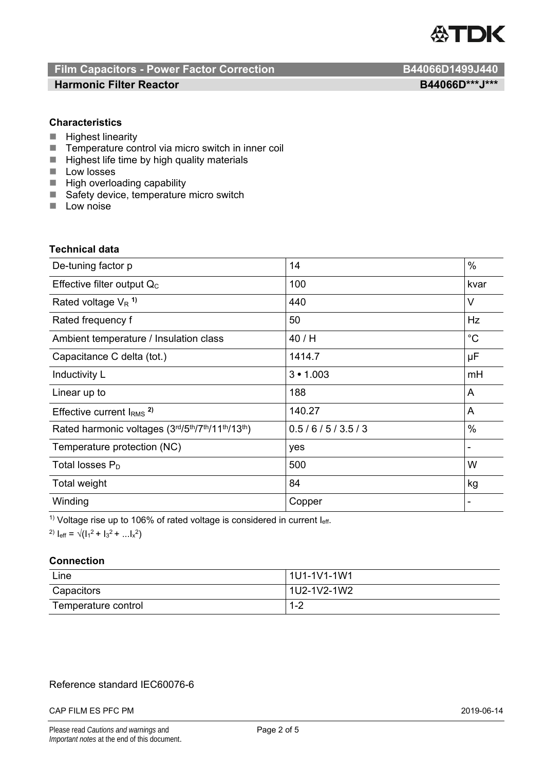

# **Film Capacitors - Power Factor Correction B44066D1499J440**

## **Harmonic Filter Reactor B44066D\*\*\*J\*\*\***

## **Characteristics**

- $\blacksquare$  Highest linearity
- Temperature control via micro switch in inner coil
- $\blacksquare$  Highest life time by high quality materials
- **Low losses**
- $\blacksquare$  High overloading capability
- Safety device, temperature micro switch
- $\blacksquare$  Low noise

## **Technical data**

| De-tuning factor p                              | 14            | $\%$        |
|-------------------------------------------------|---------------|-------------|
| Effective filter output $Q_C$                   | 100           | kvar        |
| Rated voltage $V_R$ <sup>1)</sup>               | 440           | V           |
| Rated frequency f                               | 50            | Hz          |
| Ambient temperature / Insulation class          | 40/H          | $^{\circ}C$ |
| Capacitance C delta (tot.)                      | 1414.7        | μF          |
| Inductivity L                                   | 3 • 1.003     | mH          |
| Linear up to                                    | 188           | A           |
| Effective current $IRMS$ <sup>2)</sup>          | 140.27        | A           |
| Rated harmonic voltages (3rd/5th/7th/11th/13th) | 0.5/6/5/3.5/3 | $\%$        |
| Temperature protection (NC)                     | yes           |             |
| Total losses $P_D$                              | 500           | W           |
| Total weight                                    | 84            | kg          |
| Winding                                         | Copper        |             |

 $1)$  Voltage rise up to 106% of rated voltage is considered in current  $I_{\text{eff.}}$ 

<sup>2)</sup>  $I_{eff} = \sqrt{(1_1^2 + 1_3^2 + ... 1_x^2)}$ 

## **Connection**

| Line                | 1U1-1V1-1W1 |  |
|---------------------|-------------|--|
| Capacitors          | 1U2-1V2-1W2 |  |
| Temperature control | $1 - 2$     |  |

## Reference standard IEC60076-6

#### CAP FILM ES PFC PM 2019-06-14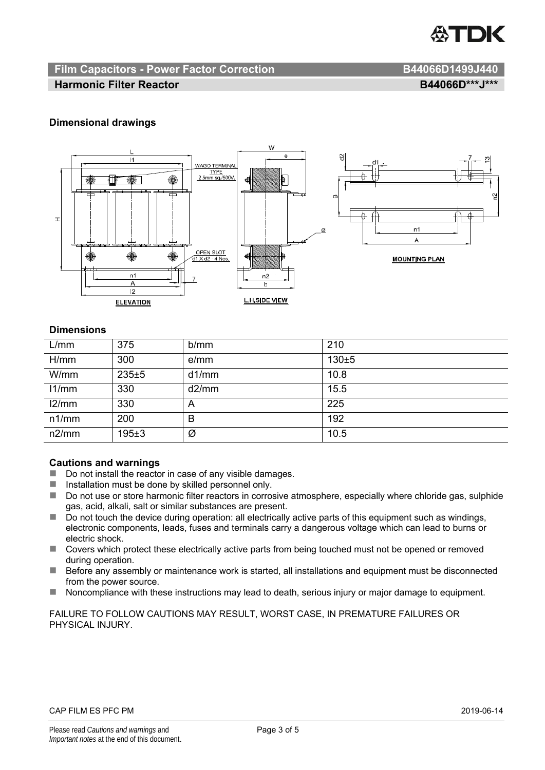

## **Film Capacitors - Power Factor Correction B44066D1499J440**

## **Harmonic Filter Reactor** B44066D\*\*\*J\*\*\*

## **Dimensional drawings**



## **Dimensions**

| L/mm  | 375       | b/mm  | 210   |
|-------|-----------|-------|-------|
| H/mm  | 300       | e/mm  | 130±5 |
| W/mm  | 235±5     | d1/mm | 10.8  |
| 11/mm | 330       | d2/mm | 15.5  |
| 12/mm | 330       | A     | 225   |
| n1/mm | 200       | в     | 192   |
| n2/mm | $195 + 3$ | Ø     | 10.5  |

#### **Cautions and warnings**

- Do not install the reactor in case of any visible damages.
- $\blacksquare$  Installation must be done by skilled personnel only.
- Do not use or store harmonic filter reactors in corrosive atmosphere, especially where chloride gas, sulphide gas, acid, alkali, salt or similar substances are present.
- $\Box$  Do not touch the device during operation: all electrically active parts of this equipment such as windings, electronic components, leads, fuses and terminals carry a dangerous voltage which can lead to burns or electric shock.
- Covers which protect these electrically active parts from being touched must not be opened or removed during operation.
- Before any assembly or maintenance work is started, all installations and equipment must be disconnected from the power source.
- Noncompliance with these instructions may lead to death, serious injury or major damage to equipment.

FAILURE TO FOLLOW CAUTIONS MAY RESULT, WORST CASE, IN PREMATURE FAILURES OR PHYSICAL INJURY.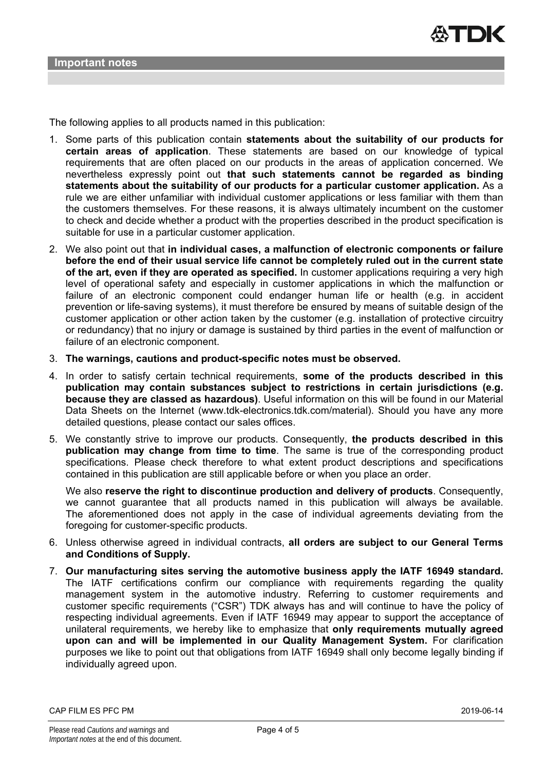

The following applies to all products named in this publication:

- 1. Some parts of this publication contain **statements about the suitability of our products for certain areas of application**. These statements are based on our knowledge of typical requirements that are often placed on our products in the areas of application concerned. We nevertheless expressly point out **that such statements cannot be regarded as binding statements about the suitability of our products for a particular customer application.** As a rule we are either unfamiliar with individual customer applications or less familiar with them than the customers themselves. For these reasons, it is always ultimately incumbent on the customer to check and decide whether a product with the properties described in the product specification is suitable for use in a particular customer application.
- 2. We also point out that **in individual cases, a malfunction of electronic components or failure before the end of their usual service life cannot be completely ruled out in the current state of the art, even if they are operated as specified.** In customer applications requiring a very high level of operational safety and especially in customer applications in which the malfunction or failure of an electronic component could endanger human life or health (e.g. in accident prevention or life-saving systems), it must therefore be ensured by means of suitable design of the customer application or other action taken by the customer (e.g. installation of protective circuitry or redundancy) that no injury or damage is sustained by third parties in the event of malfunction or failure of an electronic component.
- 3. **The warnings, cautions and product-specific notes must be observed.**
- 4. In order to satisfy certain technical requirements, **some of the products described in this publication may contain substances subject to restrictions in certain jurisdictions (e.g. because they are classed as hazardous)**. Useful information on this will be found in our Material Data Sheets on the Internet (www.tdk-electronics.tdk.com/material). Should you have any more detailed questions, please contact our sales offices.
- 5. We constantly strive to improve our products. Consequently, **the products described in this publication may change from time to time**. The same is true of the corresponding product specifications. Please check therefore to what extent product descriptions and specifications contained in this publication are still applicable before or when you place an order.

We also **reserve the right to discontinue production and delivery of products**. Consequently, we cannot guarantee that all products named in this publication will always be available. The aforementioned does not apply in the case of individual agreements deviating from the foregoing for customer-specific products.

- 6. Unless otherwise agreed in individual contracts, **all orders are subject to our General Terms and Conditions of Supply.**
- 7. **Our manufacturing sites serving the automotive business apply the IATF 16949 standard.** The IATF certifications confirm our compliance with requirements regarding the quality management system in the automotive industry. Referring to customer requirements and customer specific requirements ("CSR") TDK always has and will continue to have the policy of respecting individual agreements. Even if IATF 16949 may appear to support the acceptance of unilateral requirements, we hereby like to emphasize that **only requirements mutually agreed upon can and will be implemented in our Quality Management System.** For clarification purposes we like to point out that obligations from IATF 16949 shall only become legally binding if individually agreed upon.

CAP FILM ES PFC PM 2019-06-14